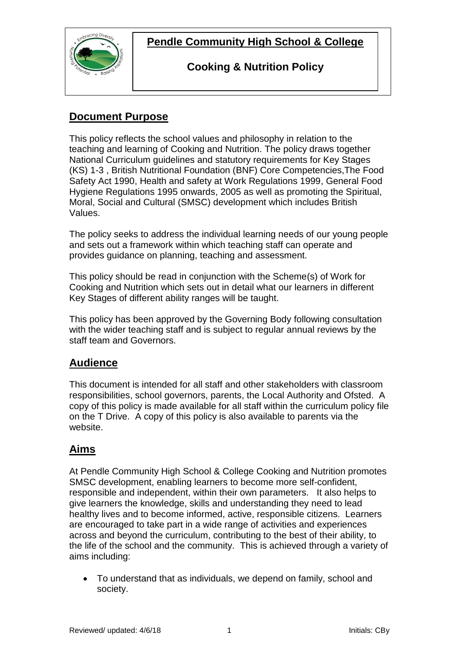

## **Cooking & Nutrition Policy**

## **Document Purpose**

This policy reflects the school values and philosophy in relation to the teaching and learning of Cooking and Nutrition. The policy draws together National Curriculum guidelines and statutory requirements for Key Stages (KS) 1-3 , British Nutritional Foundation (BNF) Core Competencies,The Food Safety Act 1990, Health and safety at Work Regulations 1999, General Food Hygiene Regulations 1995 onwards, 2005 as well as promoting the Spiritual, Moral, Social and Cultural (SMSC) development which includes British Values.

The policy seeks to address the individual learning needs of our young people and sets out a framework within which teaching staff can operate and provides guidance on planning, teaching and assessment.

This policy should be read in conjunction with the Scheme(s) of Work for Cooking and Nutrition which sets out in detail what our learners in different Key Stages of different ability ranges will be taught.

This policy has been approved by the Governing Body following consultation with the wider teaching staff and is subject to regular annual reviews by the staff team and Governors.

## **Audience**

This document is intended for all staff and other stakeholders with classroom responsibilities, school governors, parents, the Local Authority and Ofsted. A copy of this policy is made available for all staff within the curriculum policy file on the T Drive. A copy of this policy is also available to parents via the website.

# **Aims**

At Pendle Community High School & College Cooking and Nutrition promotes SMSC development, enabling learners to become more self-confident, responsible and independent, within their own parameters. It also helps to give learners the knowledge, skills and understanding they need to lead healthy lives and to become informed, active, responsible citizens. Learners are encouraged to take part in a wide range of activities and experiences across and beyond the curriculum, contributing to the best of their ability, to the life of the school and the community. This is achieved through a variety of aims including:

 To understand that as individuals, we depend on family, school and society.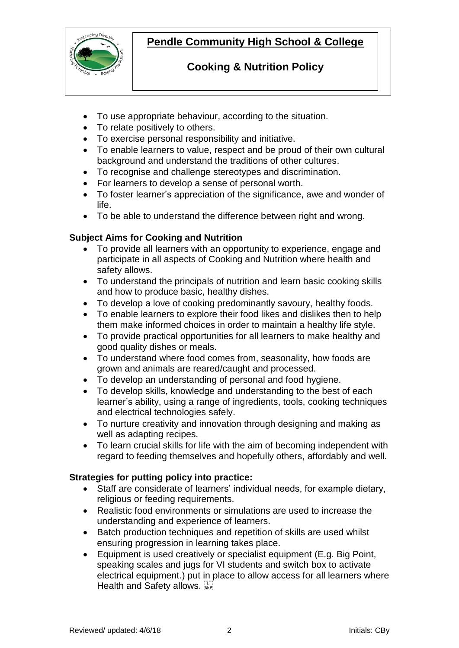

## **Cooking & Nutrition Policy**

- To use appropriate behaviour, according to the situation.
- To relate positively to others.
- To exercise personal responsibility and initiative.
- To enable learners to value, respect and be proud of their own cultural background and understand the traditions of other cultures.
- To recognise and challenge stereotypes and discrimination.
- For learners to develop a sense of personal worth.
- To foster learner's appreciation of the significance, awe and wonder of life.
- To be able to understand the difference between right and wrong.

### **Subject Aims for Cooking and Nutrition**

- To provide all learners with an opportunity to experience, engage and participate in all aspects of Cooking and Nutrition where health and safety allows.
- To understand the principals of nutrition and learn basic cooking skills and how to produce basic, healthy dishes.
- To develop a love of cooking predominantly savoury, healthy foods.
- To enable learners to explore their food likes and dislikes then to help them make informed choices in order to maintain a healthy life style.
- To provide practical opportunities for all learners to make healthy and good quality dishes or meals.
- To understand where food comes from, seasonality, how foods are grown and animals are reared/caught and processed.
- To develop an understanding of personal and food hygiene.
- To develop skills, knowledge and understanding to the best of each learner's ability, using a range of ingredients, tools, cooking techniques and electrical technologies safely.
- To nurture creativity and innovation through designing and making as well as adapting recipes.
- To learn crucial skills for life with the aim of becoming independent with regard to feeding themselves and hopefully others, affordably and well.

### **Strategies for putting policy into practice:**

- Staff are considerate of learners' individual needs, for example dietary, religious or feeding requirements.
- Realistic food environments or simulations are used to increase the understanding and experience of learners.
- Batch production techniques and repetition of skills are used whilst ensuring progression in learning takes place.
- Equipment is used creatively or specialist equipment (E.g. Big Point, speaking scales and jugs for VI students and switch box to activate electrical equipment.) put in place to allow access for all learners where Health and Safety allows.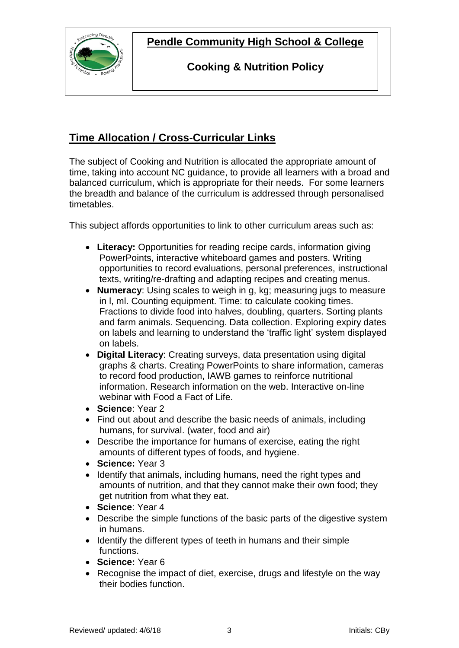

**Cooking & Nutrition Policy**

# **Time Allocation / Cross-Curricular Links**

The subject of Cooking and Nutrition is allocated the appropriate amount of time, taking into account NC guidance, to provide all learners with a broad and balanced curriculum, which is appropriate for their needs. For some learners the breadth and balance of the curriculum is addressed through personalised timetables.

This subject affords opportunities to link to other curriculum areas such as:

- **Literacy:** Opportunities for reading recipe cards, information giving PowerPoints, interactive whiteboard games and posters. Writing opportunities to record evaluations, personal preferences, instructional texts, writing/re-drafting and adapting recipes and creating menus.
- **Numeracy**: Using scales to weigh in g, kg; measuring jugs to measure in l, ml. Counting equipment. Time: to calculate cooking times. Fractions to divide food into halves, doubling, quarters. Sorting plants and farm animals. Sequencing. Data collection. Exploring expiry dates on labels and learning to understand the 'traffic light' system displayed on labels.
- **Digital Literacy**: Creating surveys, data presentation using digital graphs & charts. Creating PowerPoints to share information, cameras to record food production, IAWB games to reinforce nutritional information. Research information on the web. Interactive on-line webinar with Food a Fact of Life.
- **Science**: Year 2
- Find out about and describe the basic needs of animals, including humans, for survival. (water, food and air)
- Describe the importance for humans of exercise, eating the right amounts of different types of foods, and hygiene.
- **Science:** Year 3
- Identify that animals, including humans, need the right types and amounts of nutrition, and that they cannot make their own food; they get nutrition from what they eat.
- **Science**: Year 4
- Describe the simple functions of the basic parts of the digestive system in humans.
- Identify the different types of teeth in humans and their simple functions.
- **Science:** Year 6
- Recognise the impact of diet, exercise, drugs and lifestyle on the way their bodies function.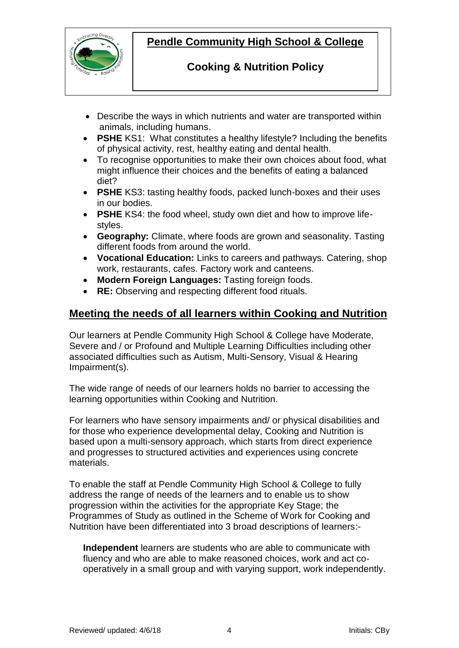

## **Cooking & Nutrition Policy**

- Describe the ways in which nutrients and water are transported within animals, including humans.
- **PSHE** KS1: What constitutes a healthy lifestyle? Including the benefits of physical activity, rest, healthy eating and dental health.
- To recognise opportunities to make their own choices about food, what might influence their choices and the benefits of eating a balanced diet?
- **PSHE** KS3: tasting healthy foods, packed lunch-boxes and their uses in our bodies.
- **PSHE** KS4: the food wheel, study own diet and how to improve lifestyles.
- **Geography:** Climate, where foods are grown and seasonality. Tasting different foods from around the world.
- **Vocational Education:** Links to careers and pathways. Catering, shop work, restaurants, cafes. Factory work and canteens.
- **Modern Foreign Languages:** Tasting foreign foods.
- **RE:** Observing and respecting different food rituals.

### **Meeting the needs of all learners within Cooking and Nutrition**

Our learners at Pendle Community High School & College have Moderate, Severe and / or Profound and Multiple Learning Difficulties including other associated difficulties such as Autism, Multi-Sensory, Visual & Hearing Impairment(s).

The wide range of needs of our learners holds no barrier to accessing the learning opportunities within Cooking and Nutrition.

For learners who have sensory impairments and/ or physical disabilities and for those who experience developmental delay, Cooking and Nutrition is based upon a multi-sensory approach, which starts from direct experience and progresses to structured activities and experiences using concrete materials.

To enable the staff at Pendle Community High School & College to fully address the range of needs of the learners and to enable us to show progression within the activities for the appropriate Key Stage; the Programmes of Study as outlined in the Scheme of Work for Cooking and Nutrition have been differentiated into 3 broad descriptions of learners:-

**Independent** learners are students who are able to communicate with fluency and who are able to make reasoned choices, work and act cooperatively in a small group and with varying support, work independently.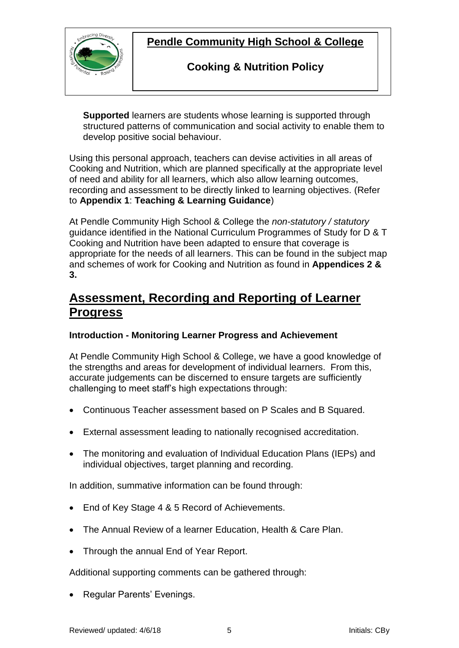

## **Cooking & Nutrition Policy**

 **Supported** learners are students whose learning is supported through structured patterns of communication and social activity to enable them to develop positive social behaviour.

Using this personal approach, teachers can devise activities in all areas of Cooking and Nutrition, which are planned specifically at the appropriate level of need and ability for all learners, which also allow learning outcomes, recording and assessment to be directly linked to learning objectives. (Refer to **Appendix 1**: **Teaching & Learning Guidance**)

At Pendle Community High School & College the *non-statutory / statutory* guidance identified in the National Curriculum Programmes of Study for D & T Cooking and Nutrition have been adapted to ensure that coverage is appropriate for the needs of all learners. This can be found in the subject map and schemes of work for Cooking and Nutrition as found in **Appendices 2 & 3.**

# **Assessment, Recording and Reporting of Learner Progress**

### **Introduction - Monitoring Learner Progress and Achievement**

At Pendle Community High School & College, we have a good knowledge of the strengths and areas for development of individual learners. From this, accurate judgements can be discerned to ensure targets are sufficiently challenging to meet staff's high expectations through:

- Continuous Teacher assessment based on P Scales and B Squared.
- External assessment leading to nationally recognised accreditation.
- The monitoring and evaluation of Individual Education Plans (IEPs) and individual objectives, target planning and recording.

In addition, summative information can be found through:

- End of Key Stage 4 & 5 Record of Achievements.
- The Annual Review of a learner Education, Health & Care Plan.
- Through the annual End of Year Report.

Additional supporting comments can be gathered through:

Regular Parents' Evenings.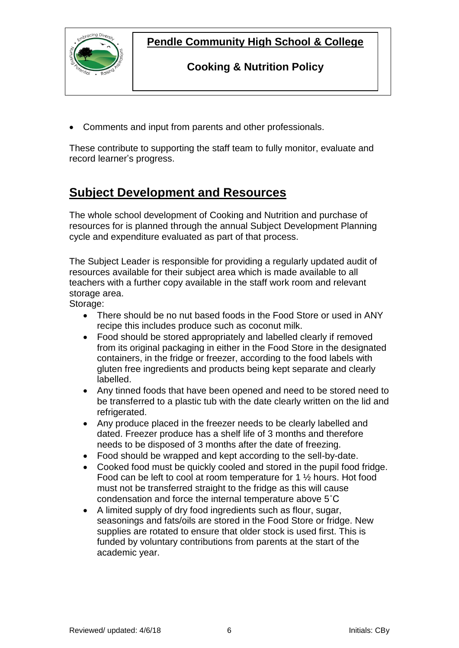

### **Cooking & Nutrition Policy**

Comments and input from parents and other professionals.

These contribute to supporting the staff team to fully monitor, evaluate and record learner's progress.

# **Subject Development and Resources**

The whole school development of Cooking and Nutrition and purchase of resources for is planned through the annual Subject Development Planning cycle and expenditure evaluated as part of that process.

The Subject Leader is responsible for providing a regularly updated audit of resources available for their subject area which is made available to all teachers with a further copy available in the staff work room and relevant storage area.

Storage:

- There should be no nut based foods in the Food Store or used in ANY recipe this includes produce such as coconut milk.
- Food should be stored appropriately and labelled clearly if removed from its original packaging in either in the Food Store in the designated containers, in the fridge or freezer, according to the food labels with gluten free ingredients and products being kept separate and clearly labelled.
- Any tinned foods that have been opened and need to be stored need to be transferred to a plastic tub with the date clearly written on the lid and refrigerated.
- Any produce placed in the freezer needs to be clearly labelled and dated. Freezer produce has a shelf life of 3 months and therefore needs to be disposed of 3 months after the date of freezing.
- Food should be wrapped and kept according to the sell-by-date.
- Cooked food must be quickly cooled and stored in the pupil food fridge. Food can be left to cool at room temperature for 1 ½ hours. Hot food must not be transferred straight to the fridge as this will cause condensation and force the internal temperature above 5˚C
- A limited supply of dry food ingredients such as flour, sugar, seasonings and fats/oils are stored in the Food Store or fridge. New supplies are rotated to ensure that older stock is used first. This is funded by voluntary contributions from parents at the start of the academic year.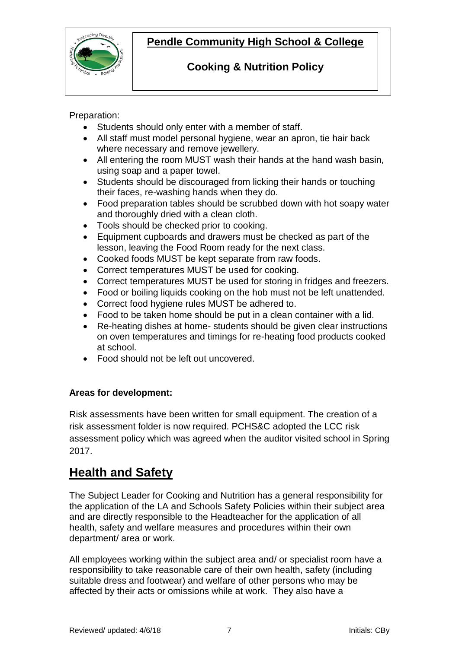

## **Cooking & Nutrition Policy**

Preparation:

- Students should only enter with a member of staff.
- All staff must model personal hygiene, wear an apron, tie hair back where necessary and remove jewellery.

- All entering the room MUST wash their hands at the hand wash basin, using soap and a paper towel.
- Students should be discouraged from licking their hands or touching their faces, re-washing hands when they do.
- Food preparation tables should be scrubbed down with hot soapy water and thoroughly dried with a clean cloth.
- Tools should be checked prior to cooking.
- Equipment cupboards and drawers must be checked as part of the lesson, leaving the Food Room ready for the next class.
- Cooked foods MUST be kept separate from raw foods.
- Correct temperatures MUST be used for cooking.
- Correct temperatures MUST be used for storing in fridges and freezers.
- Food or boiling liquids cooking on the hob must not be left unattended.
- Correct food hygiene rules MUST be adhered to.
- Food to be taken home should be put in a clean container with a lid.
- Re-heating dishes at home- students should be given clear instructions on oven temperatures and timings for re-heating food products cooked at school.
- Food should not be left out uncovered.

### **Areas for development:**

Risk assessments have been written for small equipment. The creation of a risk assessment folder is now required. PCHS&C adopted the LCC risk assessment policy which was agreed when the auditor visited school in Spring 2017.

# **Health and Safety**

The Subject Leader for Cooking and Nutrition has a general responsibility for the application of the LA and Schools Safety Policies within their subject area and are directly responsible to the Headteacher for the application of all health, safety and welfare measures and procedures within their own department/ area or work.

All employees working within the subject area and/ or specialist room have a responsibility to take reasonable care of their own health, safety (including suitable dress and footwear) and welfare of other persons who may be affected by their acts or omissions while at work. They also have a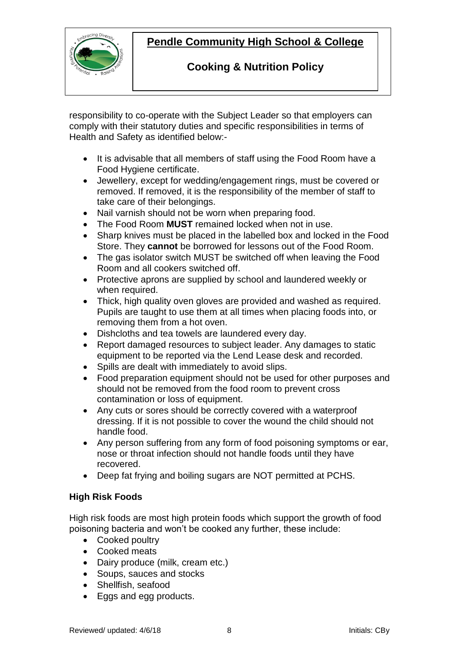

## **Cooking & Nutrition Policy**

 responsibility to co-operate with the Subject Leader so that employers can comply with their statutory duties and specific responsibilities in terms of Health and Safety as identified below:-

- It is advisable that all members of staff using the Food Room have a Food Hygiene certificate.
- Jewellery, except for wedding/engagement rings, must be covered or removed. If removed, it is the responsibility of the member of staff to take care of their belongings.
- Nail varnish should not be worn when preparing food.
- The Food Room **MUST** remained locked when not in use.
- Sharp knives must be placed in the labelled box and locked in the Food Store. They **cannot** be borrowed for lessons out of the Food Room.
- The gas isolator switch MUST be switched off when leaving the Food Room and all cookers switched off.
- Protective aprons are supplied by school and laundered weekly or when required.
- Thick, high quality oven gloves are provided and washed as required. Pupils are taught to use them at all times when placing foods into, or removing them from a hot oven.
- Dishcloths and tea towels are laundered every day.
- Report damaged resources to subject leader. Any damages to static equipment to be reported via the Lend Lease desk and recorded.
- Spills are dealt with immediately to avoid slips.
- Food preparation equipment should not be used for other purposes and should not be removed from the food room to prevent cross contamination or loss of equipment.
- Any cuts or sores should be correctly covered with a waterproof dressing. If it is not possible to cover the wound the child should not handle food.
- Any person suffering from any form of food poisoning symptoms or ear, nose or throat infection should not handle foods until they have recovered.
- Deep fat frying and boiling sugars are NOT permitted at PCHS.

### **High Risk Foods**

High risk foods are most high protein foods which support the growth of food poisoning bacteria and won't be cooked any further, these include:

- Cooked poultry
- Cooked meats
- Dairy produce (milk, cream etc.)
- Soups, sauces and stocks
- Shellfish, seafood
- Eggs and egg products.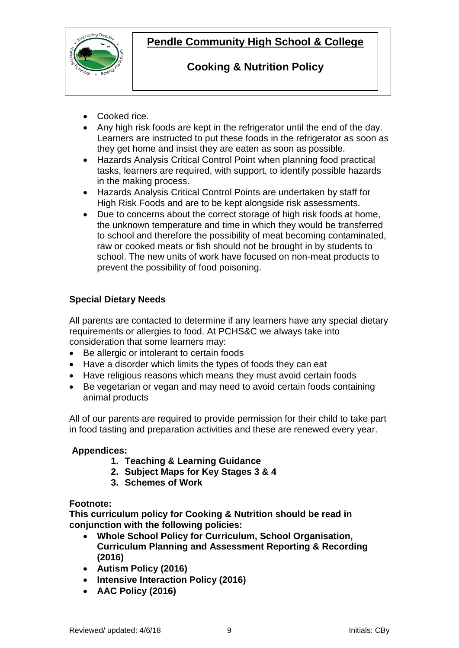

## **Cooking & Nutrition Policy**

- Cooked rice.
- Any high risk foods are kept in the refrigerator until the end of the day. Learners are instructed to put these foods in the refrigerator as soon as they get home and insist they are eaten as soon as possible.

- Hazards Analysis Critical Control Point when planning food practical tasks, learners are required, with support, to identify possible hazards in the making process.
- Hazards Analysis Critical Control Points are undertaken by staff for High Risk Foods and are to be kept alongside risk assessments.
- Due to concerns about the correct storage of high risk foods at home, the unknown temperature and time in which they would be transferred to school and therefore the possibility of meat becoming contaminated, raw or cooked meats or fish should not be brought in by students to school. The new units of work have focused on non-meat products to prevent the possibility of food poisoning.

### **Special Dietary Needs**

All parents are contacted to determine if any learners have any special dietary requirements or allergies to food. At PCHS&C we always take into consideration that some learners may:

- Be allergic or intolerant to certain foods
- Have a disorder which limits the types of foods they can eat
- Have religious reasons which means they must avoid certain foods
- Be vegetarian or vegan and may need to avoid certain foods containing animal products

All of our parents are required to provide permission for their child to take part in food tasting and preparation activities and these are renewed every year.

### **Appendices:**

- **1. Teaching & Learning Guidance**
- **2. Subject Maps for Key Stages 3 & 4**
- **3. Schemes of Work**

### **Footnote:**

**This curriculum policy for Cooking & Nutrition should be read in conjunction with the following policies:**

- **Whole School Policy for Curriculum, School Organisation, Curriculum Planning and Assessment Reporting & Recording (2016)**
- **Autism Policy (2016)**
- **Intensive Interaction Policy (2016)**
- **AAC Policy (2016)**